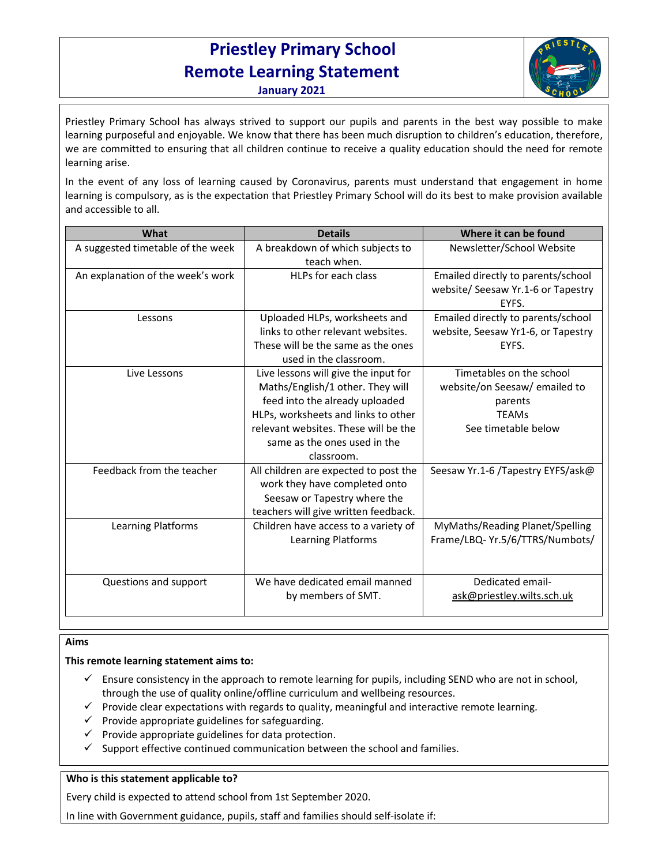# **Priestley Primary School Remote Learning Statement**



**January 2021**

Priestley Primary School has always strived to support our pupils and parents in the best way possible to make learning purposeful and enjoyable. We know that there has been much disruption to children's education, therefore, we are committed to ensuring that all children continue to receive a quality education should the need for remote learning arise.

In the event of any loss of learning caused by Coronavirus, parents must understand that engagement in home learning is compulsory, as is the expectation that Priestley Primary School will do its best to make provision available and accessible to all.

| What                              | <b>Details</b>                                                                                                                                                                                                                          | Where it can be found                                                                                       |
|-----------------------------------|-----------------------------------------------------------------------------------------------------------------------------------------------------------------------------------------------------------------------------------------|-------------------------------------------------------------------------------------------------------------|
| A suggested timetable of the week | A breakdown of which subjects to<br>teach when.                                                                                                                                                                                         | Newsletter/School Website                                                                                   |
| An explanation of the week's work | HLPs for each class                                                                                                                                                                                                                     | Emailed directly to parents/school<br>website/ Seesaw Yr.1-6 or Tapestry<br>EYFS.                           |
| Lessons                           | Uploaded HLPs, worksheets and<br>links to other relevant websites.<br>These will be the same as the ones<br>used in the classroom.                                                                                                      | Emailed directly to parents/school<br>website, Seesaw Yr1-6, or Tapestry<br>EYFS.                           |
| Live Lessons                      | Live lessons will give the input for<br>Maths/English/1 other. They will<br>feed into the already uploaded<br>HLPs, worksheets and links to other<br>relevant websites. These will be the<br>same as the ones used in the<br>classroom. | Timetables on the school<br>website/on Seesaw/ emailed to<br>parents<br><b>TEAMs</b><br>See timetable below |
| Feedback from the teacher         | All children are expected to post the<br>work they have completed onto<br>Seesaw or Tapestry where the<br>teachers will give written feedback.                                                                                          | Seesaw Yr.1-6 /Tapestry EYFS/ask@                                                                           |
| Learning Platforms                | Children have access to a variety of<br><b>Learning Platforms</b>                                                                                                                                                                       | MyMaths/Reading Planet/Spelling<br>Frame/LBQ-Yr.5/6/TTRS/Numbots/                                           |
| Questions and support             | We have dedicated email manned<br>by members of SMT.                                                                                                                                                                                    | Dedicated email-<br>ask@priestley.wilts.sch.uk                                                              |

#### $\overline{a}$ **Aims**

# **This remote learning statement aims to:**

- $\checkmark$  Ensure consistency in the approach to remote learning for pupils, including SEND who are not in school, through the use of quality online/offline curriculum and wellbeing resources.
- $\checkmark$  Provide clear expectations with regards to quality, meaningful and interactive remote learning.
- $\checkmark$  Provide appropriate guidelines for safeguarding.
- $\checkmark$  Provide appropriate guidelines for data protection.
- $\checkmark$  Support effective continued communication between the school and families.

# **Who is this statement applicable to?**

Every child is expected to attend school from 1st September 2020.

In line with Government guidance, pupils, staff and families should self-isolate if: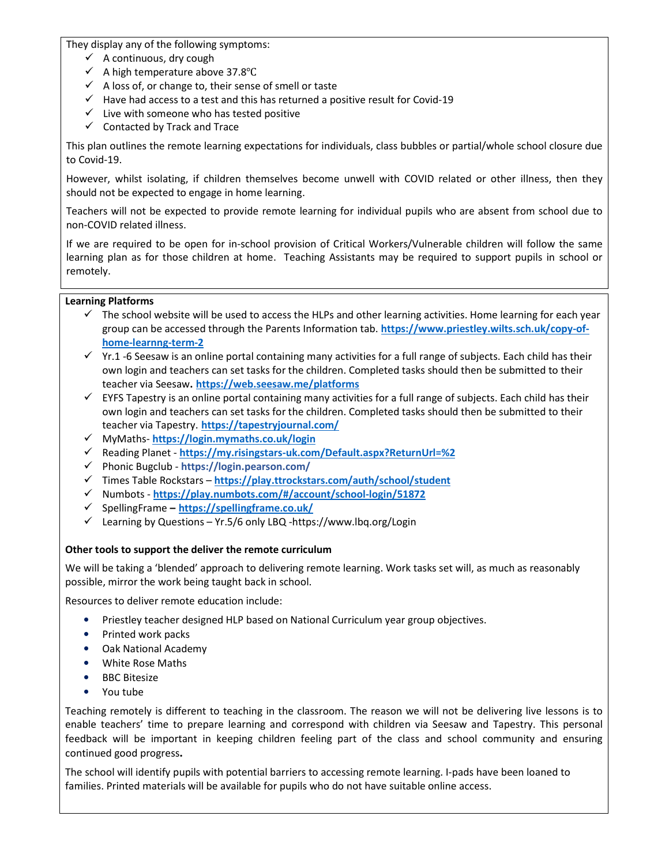They display any of the following symptoms:

- $\checkmark$  A continuous, dry cough
- A high temperature above 37.8℃
- $\checkmark$  A loss of, or change to, their sense of smell or taste
- $\checkmark$  Have had access to a test and this has returned a positive result for Covid-19
- $\checkmark$  Live with someone who has tested positive
- $\checkmark$  Contacted by Track and Trace

This plan outlines the remote learning expectations for individuals, class bubbles or partial/whole school closure due to Covid-19.

However, whilst isolating, if children themselves become unwell with COVID related or other illness, then they should not be expected to engage in home learning.

Teachers will not be expected to provide remote learning for individual pupils who are absent from school due to non-COVID related illness.

If we are required to be open for in-school provision of Critical Workers/Vulnerable children will follow the same learning plan as for those children at home. Teaching Assistants may be required to support pupils in school or remotely.

# **Learning Platforms**

- $\checkmark$  The school website will be used to access the HLPs and other learning activities. Home learning for each year group can be accessed through the Parents Information tab. **https://www.priestley.wilts.sch.uk/copy-ofhome-learnng-term-2**
- $Y$  Yr.1 -6 Seesaw is an online portal containing many activities for a full range of subjects. Each child has their own login and teachers can set tasks for the children. Completed tasks should then be submitted to their teacher via Seesaw**. https://web.seesaw.me/platforms**
- $\checkmark$  EYFS Tapestry is an online portal containing many activities for a full range of subjects. Each child has their own login and teachers can set tasks for the children. Completed tasks should then be submitted to their teacher via Tapestry. **https://tapestryjournal.com/**
- MyMaths- **https://login.mymaths.co.uk/login**
- Reading Planet **https://my.risingstars-uk.com/Default.aspx?ReturnUrl=%2**
- Phonic Bugclub **https://login.pearson.com/**
- Times Table Rockstars **https://play.ttrockstars.com/auth/school/student**
- Numbots **https://play.numbots.com/#/account/school-login/51872**
- SpellingFrame **– https://spellingframe.co.uk/**
- Learning by Questions Yr.5/6 only LBQ -https://www.lbq.org/Login

# **Other tools to support the deliver the remote curriculum**

We will be taking a 'blended' approach to delivering remote learning. Work tasks set will, as much as reasonably possible, mirror the work being taught back in school.

Resources to deliver remote education include:

- Priestley teacher designed HLP based on National Curriculum year group objectives.
- Printed work packs
- Oak National Academy
- White Rose Maths
- BBC Bitesize
- You tube

Teaching remotely is different to teaching in the classroom. The reason we will not be delivering live lessons is to enable teachers' time to prepare learning and correspond with children via Seesaw and Tapestry. This personal feedback will be important in keeping children feeling part of the class and school community and ensuring continued good progress**.** 

The school will identify pupils with potential barriers to accessing remote learning. I-pads have been loaned to families. Printed materials will be available for pupils who do not have suitable online access.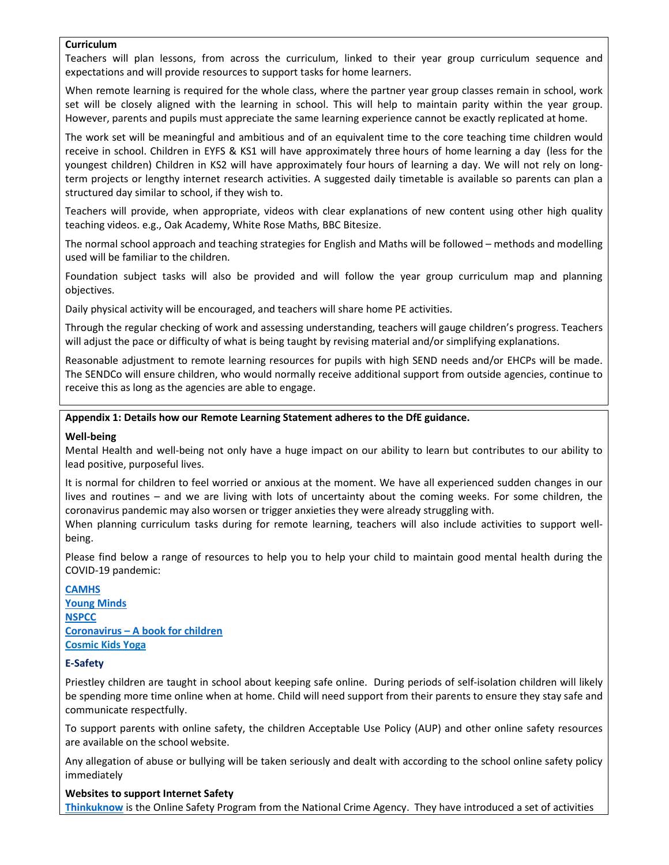#### **Curriculum**

Teachers will plan lessons, from across the curriculum, linked to their year group curriculum sequence and expectations and will provide resources to support tasks for home learners.

When remote learning is required for the whole class, where the partner year group classes remain in school, work set will be closely aligned with the learning in school. This will help to maintain parity within the year group. However, parents and pupils must appreciate the same learning experience cannot be exactly replicated at home.

The work set will be meaningful and ambitious and of an equivalent time to the core teaching time children would receive in school. Children in EYFS & KS1 will have approximately three hours of home learning a day (less for the youngest children) Children in KS2 will have approximately four hours of learning a day. We will not rely on longterm projects or lengthy internet research activities. A suggested daily timetable is available so parents can plan a structured day similar to school, if they wish to.

Teachers will provide, when appropriate, videos with clear explanations of new content using other high quality teaching videos. e.g., Oak Academy, White Rose Maths, BBC Bitesize.

The normal school approach and teaching strategies for English and Maths will be followed – methods and modelling used will be familiar to the children.

Foundation subject tasks will also be provided and will follow the year group curriculum map and planning objectives.

Daily physical activity will be encouraged, and teachers will share home PE activities.

Through the regular checking of work and assessing understanding, teachers will gauge children's progress. Teachers will adjust the pace or difficulty of what is being taught by revising material and/or simplifying explanations.

Reasonable adjustment to remote learning resources for pupils with high SEND needs and/or EHCPs will be made. The SENDCo will ensure children, who would normally receive additional support from outside agencies, continue to receive this as long as the agencies are able to engage.

#### **Appendix 1: Details how our Remote Learning Statement adheres to the DfE guidance.**

#### **Well-being**

Mental Health and well-being not only have a huge impact on our ability to learn but contributes to our ability to lead positive, purposeful lives.

It is normal for children to feel worried or anxious at the moment. We have all experienced sudden changes in our lives and routines – and we are living with lots of uncertainty about the coming weeks. For some children, the coronavirus pandemic may also worsen or trigger anxieties they were already struggling with.

When planning curriculum tasks during for remote learning, teachers will also include activities to support wellbeing.

Please find below a range of resources to help you to help your child to maintain good mental health during the COVID-19 pandemic:

#### **CAMHS**

**Young Minds NSPCC Coronavirus – A book for children Cosmic Kids Yoga** 

#### **E-Safety**

Priestley children are taught in school about keeping safe online. During periods of self-isolation children will likely be spending more time online when at home. Child will need support from their parents to ensure they stay safe and communicate respectfully.

To support parents with online safety, the children Acceptable Use Policy (AUP) and other online safety resources are available on the school website.

Any allegation of abuse or bullying will be taken seriously and dealt with according to the school online safety policy immediately

**Websites to support Internet Safety Thinkuknow** is the Online Safety Program from the National Crime Agency. They have introduced a set of activities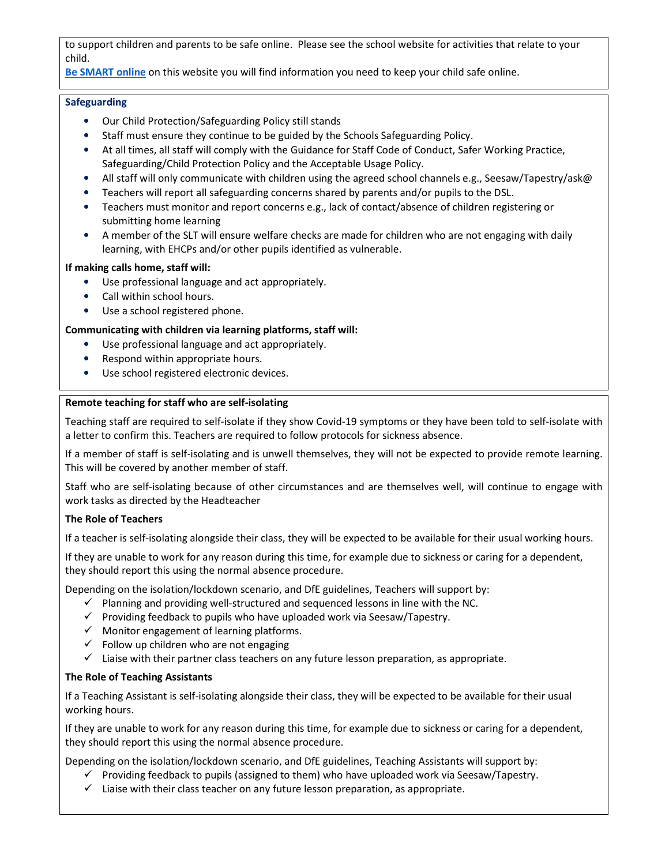to support children and parents to be safe online. Please see the school website for activities that relate to your child.

## **Be SMART online** on this website you will find information you need to keep your child safe online.

## **Safeguarding**

- Our Child Protection/Safeguarding Policy still stands
- Staff must ensure they continue to be guided by the Schools Safeguarding Policy.
- At all times, all staff will comply with the Guidance for Staff Code of Conduct, Safer Working Practice, Safeguarding/Child Protection Policy and the Acceptable Usage Policy.
- All staff will only communicate with children using the agreed school channels e.g., Seesaw/Tapestry/ask@
- Teachers will report all safeguarding concerns shared by parents and/or pupils to the DSL.
- Teachers must monitor and report concerns e.g., lack of contact/absence of children registering or submitting home learning
- A member of the SLT will ensure welfare checks are made for children who are not engaging with daily learning, with EHCPs and/or other pupils identified as vulnerable.

#### **If making calls home, staff will:**

- Use professional language and act appropriately.
- Call within school hours.
- Use a school registered phone.

## **Communicating with children via learning platforms, staff will:**

- Use professional language and act appropriately.
- Respond within appropriate hours.
- Use school registered electronic devices.

## **Remote teaching for staff who are self-isolating**

Teaching staff are required to self-isolate if they show Covid-19 symptoms or they have been told to self-isolate with a letter to confirm this. Teachers are required to follow protocols for sickness absence.

If a member of staff is self-isolating and is unwell themselves, they will not be expected to provide remote learning. This will be covered by another member of staff.

Staff who are self-isolating because of other circumstances and are themselves well, will continue to engage with work tasks as directed by the Headteacher

#### **The Role of Teachers**

If a teacher is self-isolating alongside their class, they will be expected to be available for their usual working hours.

If they are unable to work for any reason during this time, for example due to sickness or caring for a dependent, they should report this using the normal absence procedure.

Depending on the isolation/lockdown scenario, and DfE guidelines, Teachers will support by:

- $\checkmark$  Planning and providing well-structured and sequenced lessons in line with the NC.
- $\checkmark$  Providing feedback to pupils who have uploaded work via Seesaw/Tapestry.
- $\checkmark$  Monitor engagement of learning platforms.
- $\checkmark$  Follow up children who are not engaging
- $\checkmark$  Liaise with their partner class teachers on any future lesson preparation, as appropriate.

#### **The Role of Teaching Assistants**

If a Teaching Assistant is self-isolating alongside their class, they will be expected to be available for their usual working hours.

If they are unable to work for any reason during this time, for example due to sickness or caring for a dependent, they should report this using the normal absence procedure.

Depending on the isolation/lockdown scenario, and DfE guidelines, Teaching Assistants will support by:

- $\checkmark$  Providing feedback to pupils (assigned to them) who have uploaded work via Seesaw/Tapestry.
- $\checkmark$  Liaise with their class teacher on any future lesson preparation, as appropriate.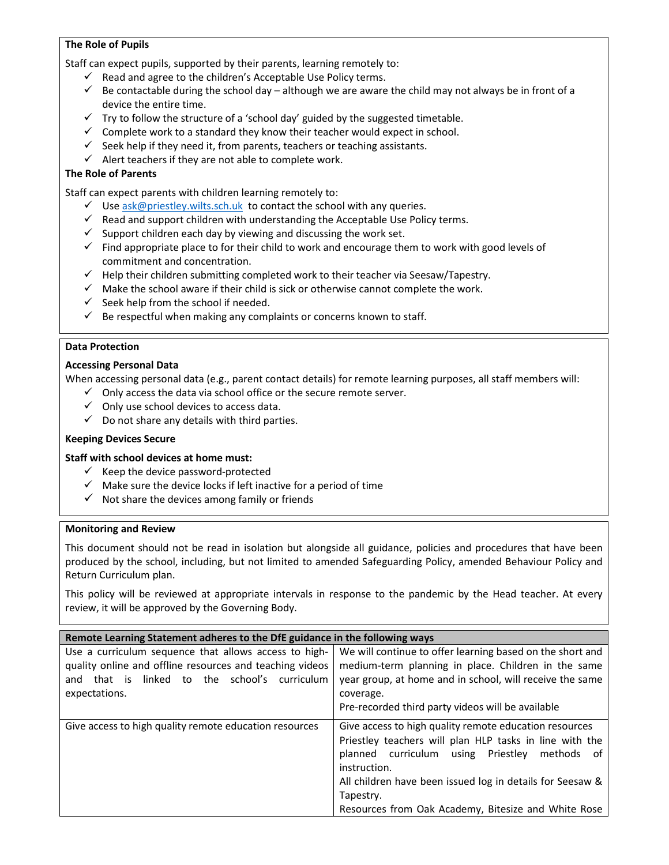# **The Role of Pupils**

Staff can expect pupils, supported by their parents, learning remotely to:

- $\checkmark$  Read and agree to the children's Acceptable Use Policy terms.
- $\checkmark$  Be contactable during the school day although we are aware the child may not always be in front of a device the entire time.
- $\checkmark$  Try to follow the structure of a 'school day' guided by the suggested timetable.
- $\checkmark$  Complete work to a standard they know their teacher would expect in school.
- $\checkmark$  Seek help if they need it, from parents, teachers or teaching assistants.
- $\checkmark$  Alert teachers if they are not able to complete work.

# **The Role of Parents**

Staff can expect parents with children learning remotely to:

- $\checkmark$  Use ask@priestley.wilts.sch.uk to contact the school with any queries.
- $\checkmark$  Read and support children with understanding the Acceptable Use Policy terms.
- $\checkmark$  Support children each day by viewing and discussing the work set.
- $\checkmark$  Find appropriate place to for their child to work and encourage them to work with good levels of commitment and concentration.
- $\checkmark$  Help their children submitting completed work to their teacher via Seesaw/Tapestry.
- $\checkmark$  Make the school aware if their child is sick or otherwise cannot complete the work.
- $\checkmark$  Seek help from the school if needed.
- $\checkmark$  Be respectful when making any complaints or concerns known to staff.

## **Data Protection**

#### **Accessing Personal Data**

When accessing personal data (e.g., parent contact details) for remote learning purposes, all staff members will:

- $\checkmark$  Only access the data via school office or the secure remote server.
- $\checkmark$  Only use school devices to access data.
- $\checkmark$  Do not share any details with third parties.

#### **Keeping Devices Secure**

#### **Staff with school devices at home must:**

- $\checkmark$  Keep the device password-protected
- $\checkmark$  Make sure the device locks if left inactive for a period of time
- $\checkmark$  Not share the devices among family or friends

#### **Monitoring and Review**

This document should not be read in isolation but alongside all guidance, policies and procedures that have been produced by the school, including, but not limited to amended Safeguarding Policy, amended Behaviour Policy and Return Curriculum plan.

This policy will be reviewed at appropriate intervals in response to the pandemic by the Head teacher. At every review, it will be approved by the Governing Body.

# **Remote Learning Statement adheres to the DfE guidance in the following ways**

| Use a curriculum sequence that allows access to high-<br>quality online and offline resources and teaching videos<br>that is linked to the school's<br>curriculum<br>and<br>expectations. | We will continue to offer learning based on the short and<br>medium-term planning in place. Children in the same<br>year group, at home and in school, will receive the same<br>coverage.<br>Pre-recorded third party videos will be available                                                                         |
|-------------------------------------------------------------------------------------------------------------------------------------------------------------------------------------------|------------------------------------------------------------------------------------------------------------------------------------------------------------------------------------------------------------------------------------------------------------------------------------------------------------------------|
| Give access to high quality remote education resources                                                                                                                                    | Give access to high quality remote education resources<br>Priestley teachers will plan HLP tasks in line with the<br>planned curriculum using Priestley<br>methods of<br>instruction.<br>All children have been issued log in details for Seesaw &<br>Tapestry.<br>Resources from Oak Academy, Bitesize and White Rose |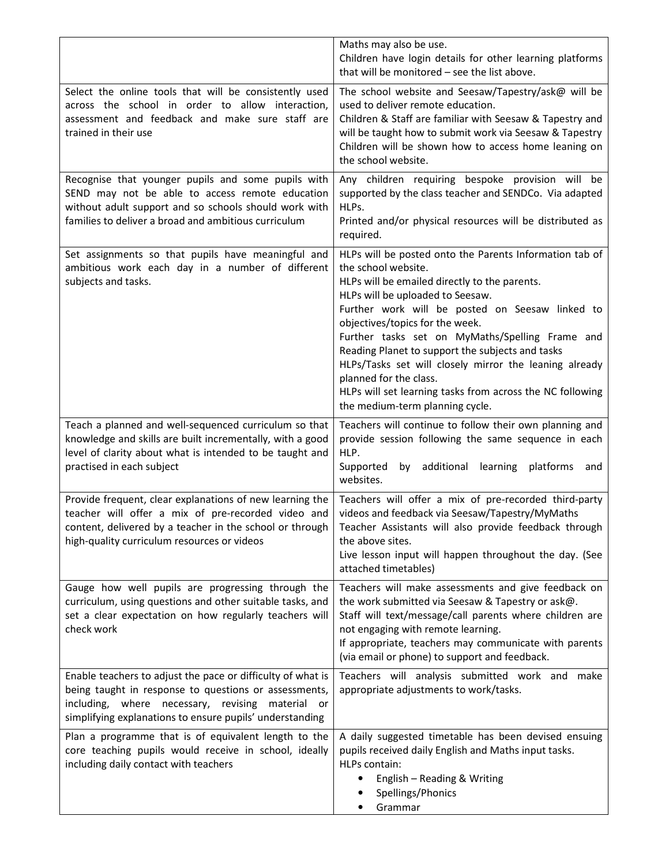|                                                                                                                                                                                                                                         | Maths may also be use.<br>Children have login details for other learning platforms<br>that will be monitored - see the list above.                                                                                                                                                                                                                                                                                                                                                                                                                   |
|-----------------------------------------------------------------------------------------------------------------------------------------------------------------------------------------------------------------------------------------|------------------------------------------------------------------------------------------------------------------------------------------------------------------------------------------------------------------------------------------------------------------------------------------------------------------------------------------------------------------------------------------------------------------------------------------------------------------------------------------------------------------------------------------------------|
| Select the online tools that will be consistently used<br>across the school in order to allow interaction,<br>assessment and feedback and make sure staff are<br>trained in their use                                                   | The school website and Seesaw/Tapestry/ask@ will be<br>used to deliver remote education.<br>Children & Staff are familiar with Seesaw & Tapestry and<br>will be taught how to submit work via Seesaw & Tapestry<br>Children will be shown how to access home leaning on<br>the school website.                                                                                                                                                                                                                                                       |
| Recognise that younger pupils and some pupils with<br>SEND may not be able to access remote education<br>without adult support and so schools should work with<br>families to deliver a broad and ambitious curriculum                  | Any children requiring bespoke provision will be<br>supported by the class teacher and SENDCo. Via adapted<br>HLPs.<br>Printed and/or physical resources will be distributed as<br>required.                                                                                                                                                                                                                                                                                                                                                         |
| Set assignments so that pupils have meaningful and<br>ambitious work each day in a number of different<br>subjects and tasks.                                                                                                           | HLPs will be posted onto the Parents Information tab of<br>the school website.<br>HLPs will be emailed directly to the parents.<br>HLPs will be uploaded to Seesaw.<br>Further work will be posted on Seesaw linked to<br>objectives/topics for the week.<br>Further tasks set on MyMaths/Spelling Frame and<br>Reading Planet to support the subjects and tasks<br>HLPs/Tasks set will closely mirror the leaning already<br>planned for the class.<br>HLPs will set learning tasks from across the NC following<br>the medium-term planning cycle. |
| Teach a planned and well-sequenced curriculum so that<br>knowledge and skills are built incrementally, with a good<br>level of clarity about what is intended to be taught and<br>practised in each subject                             | Teachers will continue to follow their own planning and<br>provide session following the same sequence in each<br>HLP.<br>Supported<br>by additional learning platforms<br>and<br>websites.                                                                                                                                                                                                                                                                                                                                                          |
| Provide frequent, clear explanations of new learning the<br>teacher will offer a mix of pre-recorded video and<br>content, delivered by a teacher in the school or through<br>high-quality curriculum resources or videos               | Teachers will offer a mix of pre-recorded third-party<br>videos and feedback via Seesaw/Tapestry/MyMaths<br>Teacher Assistants will also provide feedback through<br>the above sites.<br>Live lesson input will happen throughout the day. (See<br>attached timetables)                                                                                                                                                                                                                                                                              |
| Gauge how well pupils are progressing through the<br>curriculum, using questions and other suitable tasks, and<br>set a clear expectation on how regularly teachers will<br>check work                                                  | Teachers will make assessments and give feedback on<br>the work submitted via Seesaw & Tapestry or ask@.<br>Staff will text/message/call parents where children are<br>not engaging with remote learning.<br>If appropriate, teachers may communicate with parents<br>(via email or phone) to support and feedback.                                                                                                                                                                                                                                  |
| Enable teachers to adjust the pace or difficulty of what is<br>being taught in response to questions or assessments,<br>including, where necessary, revising material<br>or<br>simplifying explanations to ensure pupils' understanding | Teachers will analysis submitted work and make<br>appropriate adjustments to work/tasks.                                                                                                                                                                                                                                                                                                                                                                                                                                                             |
| Plan a programme that is of equivalent length to the<br>core teaching pupils would receive in school, ideally<br>including daily contact with teachers                                                                                  | A daily suggested timetable has been devised ensuing<br>pupils received daily English and Maths input tasks.<br>HLPs contain:<br>English - Reading & Writing<br>$\bullet$<br>Spellings/Phonics<br>Grammar                                                                                                                                                                                                                                                                                                                                            |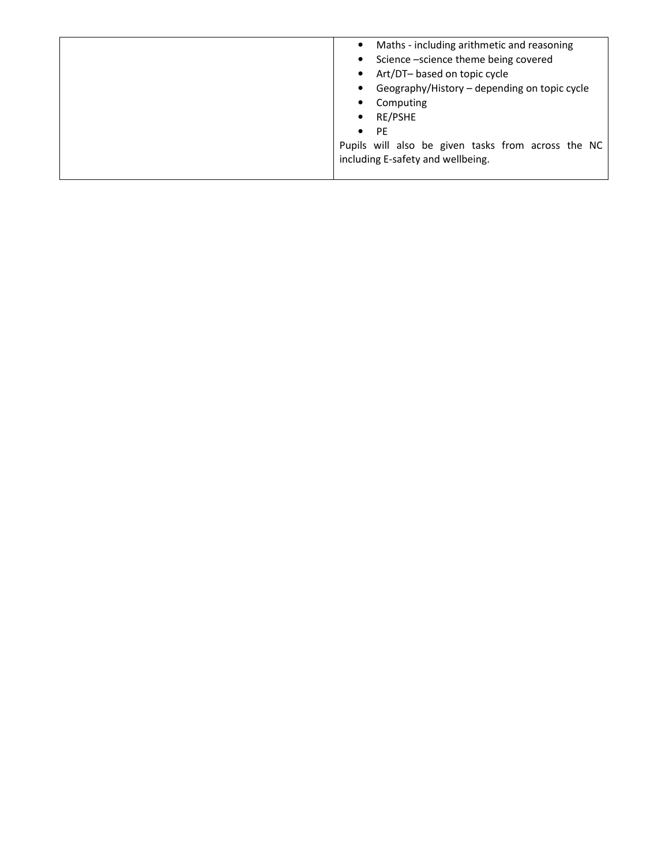| Maths - including arithmetic and reasoning         |  |  |  |
|----------------------------------------------------|--|--|--|
| • Science -science theme being covered             |  |  |  |
| Art/DT- based on topic cycle                       |  |  |  |
| Geography/History - depending on topic cycle       |  |  |  |
| Computing                                          |  |  |  |
| RE/PSHE                                            |  |  |  |
| <b>PE</b><br>$\bullet$                             |  |  |  |
| Pupils will also be given tasks from across the NC |  |  |  |
| including E-safety and wellbeing.                  |  |  |  |
|                                                    |  |  |  |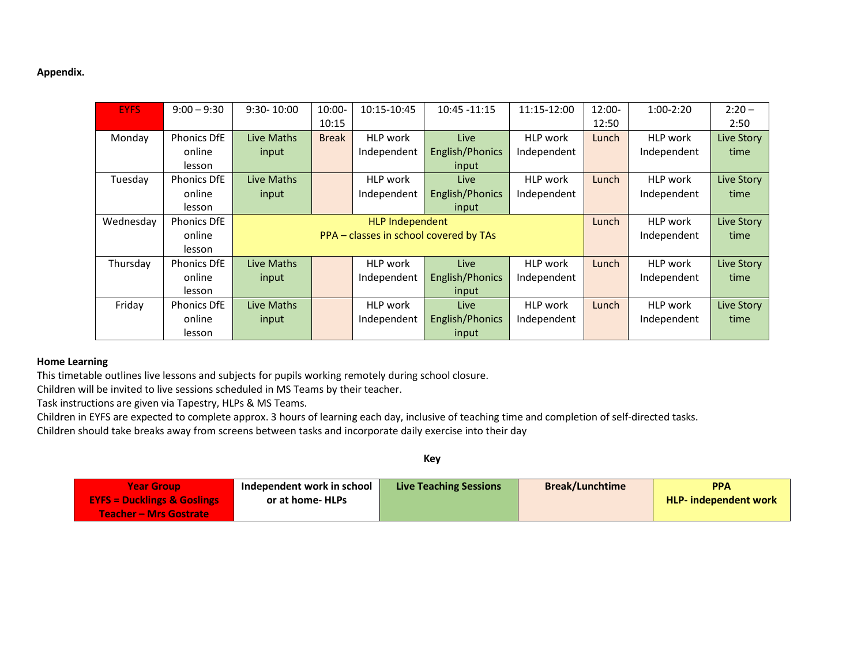# **Appendix.**

| <b>EYFS</b> | $9:00 - 9:30$      | $9:30 - 10:00$ | 10:00-       | 10:15-10:45            | 10:45 - 11:15                          | 11:15-12:00     | $12:00 -$ | $1:00-2:20$     | $2:20 -$   |
|-------------|--------------------|----------------|--------------|------------------------|----------------------------------------|-----------------|-----------|-----------------|------------|
|             |                    |                | 10:15        |                        |                                        |                 | 12:50     |                 | 2:50       |
| Monday      | <b>Phonics DfE</b> | Live Maths     | <b>Break</b> | HLP work               | Live                                   | <b>HLP</b> work | Lunch     | HLP work        | Live Story |
|             | online             | input          |              | Independent            | English/Phonics                        | Independent     |           | Independent     | time       |
|             | lesson             |                |              |                        | input                                  |                 |           |                 |            |
| Tuesday     | <b>Phonics DfE</b> | Live Maths     |              | HLP work               | Live                                   | <b>HLP</b> work | Lunch     | HLP work        | Live Story |
|             | online             | input          |              | Independent            | English/Phonics                        | Independent     |           | Independent     | time       |
|             | lesson             |                |              |                        | input                                  |                 |           |                 |            |
| Wednesday   | Phonics DfE        |                |              | <b>HLP Independent</b> |                                        |                 | Lunch     | <b>HLP</b> work | Live Story |
|             | online             |                |              |                        | PPA - classes in school covered by TAs |                 |           | Independent     | time       |
|             | lesson             |                |              |                        |                                        |                 |           |                 |            |
| Thursday    | <b>Phonics DfE</b> | Live Maths     |              | HLP work               | Live                                   | <b>HLP</b> work | Lunch     | HLP work        | Live Story |
|             | online             | input          |              | Independent            | English/Phonics                        | Independent     |           | Independent     | time       |
|             | lesson             |                |              |                        | input                                  |                 |           |                 |            |
| Friday      | <b>Phonics DfE</b> | Live Maths     |              | <b>HLP</b> work        | Live                                   | <b>HLP</b> work | Lunch     | HLP work        | Live Story |
|             | online             | input          |              | Independent            | English/Phonics                        | Independent     |           | Independent     | time       |
|             | lesson             |                |              |                        | input                                  |                 |           |                 |            |

# **Home Learning**

This timetable outlines live lessons and subjects for pupils working remotely during school closure.

Children will be invited to live sessions scheduled in MS Teams by their teacher.

Task instructions are given via Tapestry, HLPs & MS Teams.

Children in EYFS are expected to complete approx. 3 hours of learning each day, inclusive of teaching time and completion of self-directed tasks.

Children should take breaks away from screens between tasks and incorporate daily exercise into their day

| <b>Year Group</b>                      | Independent work in school | <b>Live Teaching Sessions</b> | <b>Break/Lunchtime</b> | <b>PPA</b>                   |
|----------------------------------------|----------------------------|-------------------------------|------------------------|------------------------------|
| <b>EYFS = Ducklings &amp; Goslings</b> | or at home- HLPs           |                               |                        | <b>HLP-</b> independent work |
| <b>Teacher - Mrs Gostrate</b>          |                            |                               |                        |                              |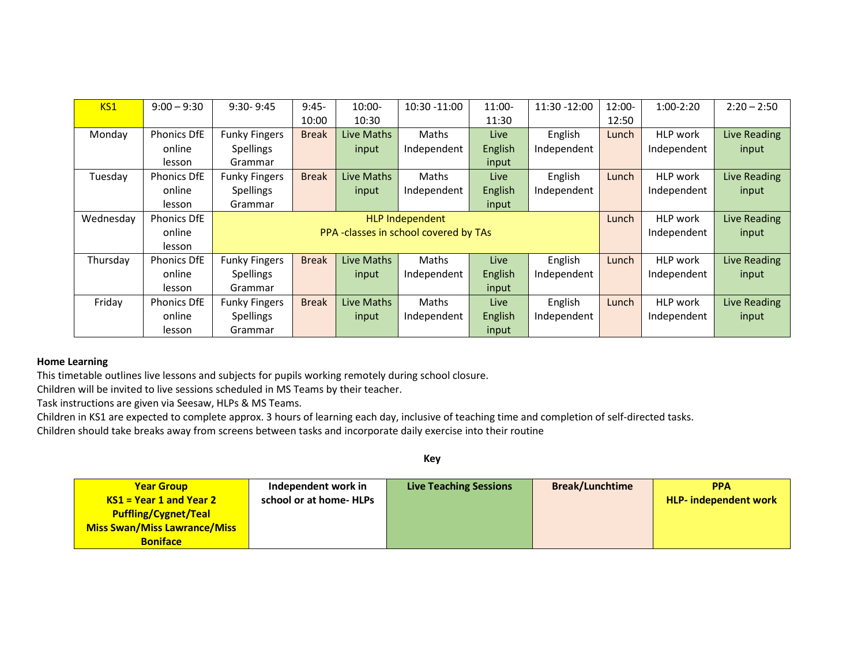| KS1       | $9:00 - 9:30$      | $9:30 - 9:45$        | $9:45-$      | $10:00 -$  | 10:30 -11:00                          | $11:00-$ | 11:30 -12:00 | 12:00- | $1:00-2:20$ | $2:20 - 2:50$       |
|-----------|--------------------|----------------------|--------------|------------|---------------------------------------|----------|--------------|--------|-------------|---------------------|
|           |                    |                      | 10:00        | 10:30      |                                       | 11:30    |              | 12:50  |             |                     |
| Monday    | <b>Phonics DfE</b> | <b>Funky Fingers</b> | <b>Break</b> | Live Maths | Maths                                 | Live     | English      | Lunch  | HLP work    | <b>Live Reading</b> |
|           | online             | <b>Spellings</b>     |              | input      | Independent                           | English  | Independent  |        | Independent | input               |
|           | lesson             | Grammar              |              |            |                                       | input    |              |        |             |                     |
| Tuesday   | <b>Phonics DfE</b> | <b>Funky Fingers</b> | <b>Break</b> | Live Maths | Maths                                 | Live     | English      | Lunch  | HLP work    | <b>Live Reading</b> |
|           | online             | <b>Spellings</b>     |              | input      | Independent                           | English  | Independent  |        | Independent | input               |
|           | lesson             | Grammar              |              |            |                                       | input    |              |        |             |                     |
| Wednesday | <b>Phonics DfE</b> |                      |              |            | <b>HLP Independent</b>                |          |              | Lunch  | HLP work    | Live Reading        |
|           | online             |                      |              |            | PPA -classes in school covered by TAs |          |              |        | Independent | input               |
|           | lesson             |                      |              |            |                                       |          |              |        |             |                     |
| Thursday  | <b>Phonics DfE</b> | <b>Funky Fingers</b> | <b>Break</b> | Live Maths | Maths                                 | Live     | English      | Lunch  | HLP work    | Live Reading        |
|           | online             | <b>Spellings</b>     |              | input      | Independent                           | English  | Independent  |        | Independent | input               |
|           | lesson             | Grammar              |              |            |                                       | input    |              |        |             |                     |
| Friday    | <b>Phonics DfE</b> | <b>Funky Fingers</b> | <b>Break</b> | Live Maths | Maths                                 | Live     | English      | Lunch  | HLP work    | <b>Live Reading</b> |
|           | online             | <b>Spellings</b>     |              | input      | Independent                           | English  | Independent  |        | Independent | input               |
|           | lesson             | Grammar              |              |            |                                       | input    |              |        |             |                     |

# **Home Learning**

This timetable outlines live lessons and subjects for pupils working remotely during school closure.

Children will be invited to live sessions scheduled in MS Teams by their teacher.

Task instructions are given via Seesaw, HLPs & MS Teams.

Children in KS1 are expected to complete approx. 3 hours of learning each day, inclusive of teaching time and completion of self-directed tasks.

Children should take breaks away from screens between tasks and incorporate daily exercise into their routine

| <b>Year Group</b>                   | Independent work in    | <b>Live Teaching Sessions</b> | <b>Break/Lunchtime</b> | <b>PPA</b>                   |
|-------------------------------------|------------------------|-------------------------------|------------------------|------------------------------|
| $KS1 = Year 1$ and Year 2           | school or at home-HLPs |                               |                        | <b>HLP-</b> independent work |
| <b>Puffling/Cygnet/Teal</b>         |                        |                               |                        |                              |
| <b>Miss Swan/Miss Lawrance/Miss</b> |                        |                               |                        |                              |
| <b>Boniface</b>                     |                        |                               |                        |                              |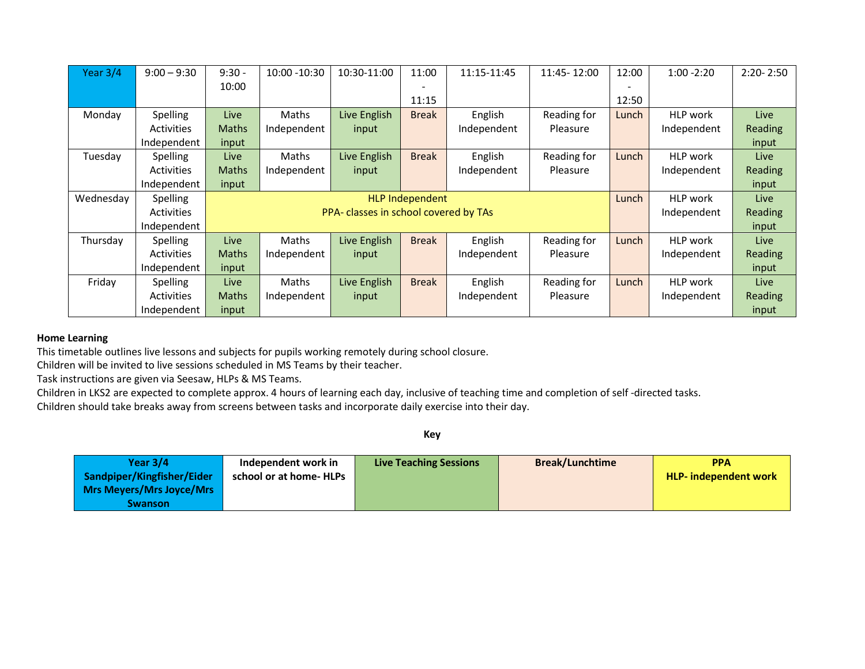| Year $3/4$ | $9:00 - 9:30$     | $9:30 -$     | 10:00 - 10:30 | 10:30-11:00                           | 11:00           | 11:15-11:45 | 11:45-12:00 | 12:00 | $1:00 - 2:20$   | $2:20 - 2:50$ |
|------------|-------------------|--------------|---------------|---------------------------------------|-----------------|-------------|-------------|-------|-----------------|---------------|
|            |                   | 10:00        |               |                                       |                 |             |             |       |                 |               |
|            |                   |              |               |                                       | 11:15           |             |             | 12:50 |                 |               |
| Monday     | Spelling          | Live         | Maths         | Live English                          | <b>Break</b>    | English     | Reading for | Lunch | <b>HLP</b> work | Live          |
|            | <b>Activities</b> | Maths        | Independent   | input                                 |                 | Independent | Pleasure    |       | Independent     | Reading       |
|            | Independent       | input        |               |                                       |                 |             |             |       |                 | input         |
| Tuesday    | <b>Spelling</b>   | Live         | Maths         | Live English                          | <b>Break</b>    | English     | Reading for | Lunch | HLP work        | Live          |
|            | <b>Activities</b> | <b>Maths</b> | Independent   | input                                 |                 | Independent | Pleasure    |       | Independent     | Reading       |
|            | Independent       | input        |               |                                       |                 |             |             |       |                 | input         |
|            |                   |              |               |                                       |                 |             |             |       |                 |               |
| Wednesday  | <b>Spelling</b>   |              |               |                                       | HLP Independent |             |             | Lunch | HLP work        | Live          |
|            | <b>Activities</b> |              |               | PPA- classes in school covered by TAs |                 |             |             |       | Independent     | Reading       |
|            | Independent       |              |               |                                       |                 |             |             |       |                 | input         |
| Thursday   | <b>Spelling</b>   | Live         | Maths         | Live English                          | <b>Break</b>    | English     | Reading for | Lunch | <b>HLP</b> work | <b>Live</b>   |
|            | <b>Activities</b> | <b>Maths</b> | Independent   | input                                 |                 | Independent | Pleasure    |       | Independent     | Reading       |
|            | Independent       | input        |               |                                       |                 |             |             |       |                 | input         |
| Friday     | <b>Spelling</b>   | Live         | <b>Maths</b>  | Live English                          | <b>Break</b>    | English     | Reading for | Lunch | HLP work        | Live          |
|            | <b>Activities</b> | Maths        | Independent   | input                                 |                 | Independent | Pleasure    |       | Independent     | Reading       |

# **Home Learning**

This timetable outlines live lessons and subjects for pupils working remotely during school closure.

Children will be invited to live sessions scheduled in MS Teams by their teacher.

Task instructions are given via Seesaw, HLPs & MS Teams.

Children in LKS2 are expected to complete approx. 4 hours of learning each day, inclusive of teaching time and completion of self -directed tasks.

Children should take breaks away from screens between tasks and incorporate daily exercise into their day.

| Year $3/4$                 | Independent work in     | <b>Live Teaching Sessions</b> | <b>Break/Lunchtime</b> | <b>PPA</b>                   |
|----------------------------|-------------------------|-------------------------------|------------------------|------------------------------|
| Sandpiper/Kingfisher/Eider | school or at home- HLPs |                               |                        | <b>HLP-</b> independent work |
| Mrs Meyers/Mrs Joyce/Mrs   |                         |                               |                        |                              |
| <b>Swanson</b>             |                         |                               |                        |                              |